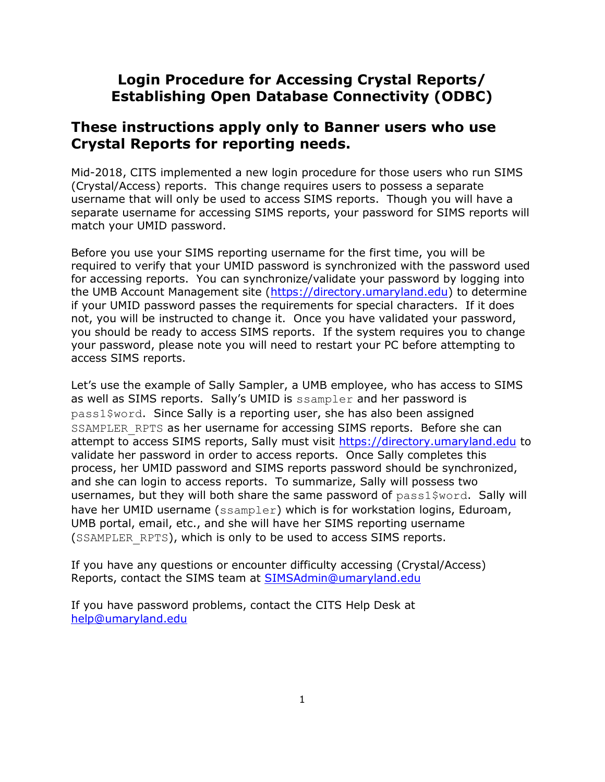#### Login Procedure for Accessing Crystal Reports/ Establishing Open Database Connectivity (ODBC)

#### These instructions apply only to Banner users who use Crystal Reports for reporting needs.

Mid-2018, CITS implemented a new login procedure for those users who run SIMS (Crystal/Access) reports. This change requires users to possess a separate username that will only be used to access SIMS reports. Though you will have a separate username for accessing SIMS reports, your password for SIMS reports will match your UMID password.

Before you use your SIMS reporting username for the first time, you will be required to verify that your UMID password is synchronized with the password used for accessing reports. You can synchronize/validate your password by logging into the UMB Account Management site (https://directory.umaryland.edu) to determine if your UMID password passes the requirements for special characters. If it does not, you will be instructed to change it. Once you have validated your password, you should be ready to access SIMS reports. If the system requires you to change your password, please note you will need to restart your PC before attempting to access SIMS reports.

Let's use the example of Sally Sampler, a UMB employee, who has access to SIMS as well as SIMS reports. Sally's UMID is ssampler and her password is pass1\$word. Since Sally is a reporting user, she has also been assigned SSAMPLER\_RPTS as her username for accessing SIMS reports. Before she can attempt to access SIMS reports, Sally must visit https://directory.umaryland.edu to validate her password in order to access reports. Once Sally completes this process, her UMID password and SIMS reports password should be synchronized, and she can login to access reports. To summarize, Sally will possess two usernames, but they will both share the same password of pass1\$word. Sally will have her UMID username (ssampler) which is for workstation logins, Eduroam, UMB portal, email, etc., and she will have her SIMS reporting username (SSAMPLER\_RPTS), which is only to be used to access SIMS reports.

If you have any questions or encounter difficulty accessing (Crystal/Access) Reports, contact the SIMS team at SIMSAdmin@umaryland.edu

If you have password problems, contact the CITS Help Desk at help@umaryland.edu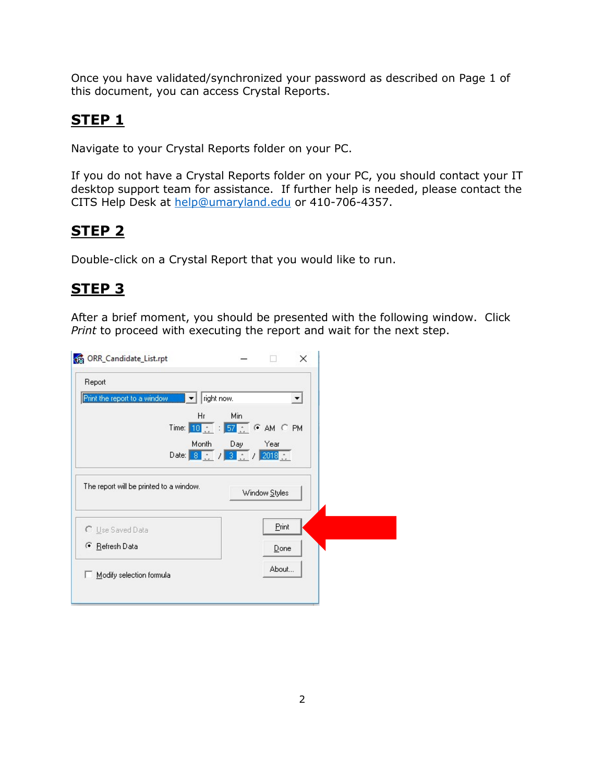Once you have validated/synchronized your password as described on Page 1 of this document, you can access Crystal Reports.

### STEP 1

Navigate to your Crystal Reports folder on your PC.

If you do not have a Crystal Reports folder on your PC, you should contact your IT desktop support team for assistance. If further help is needed, please contact the CITS Help Desk at help@umaryland.edu or 410-706-4357.

### STEP 2

Double-click on a Crystal Report that you would like to run.

## STEP 3

After a brief moment, you should be presented with the following window. Click Print to proceed with executing the report and wait for the next step.